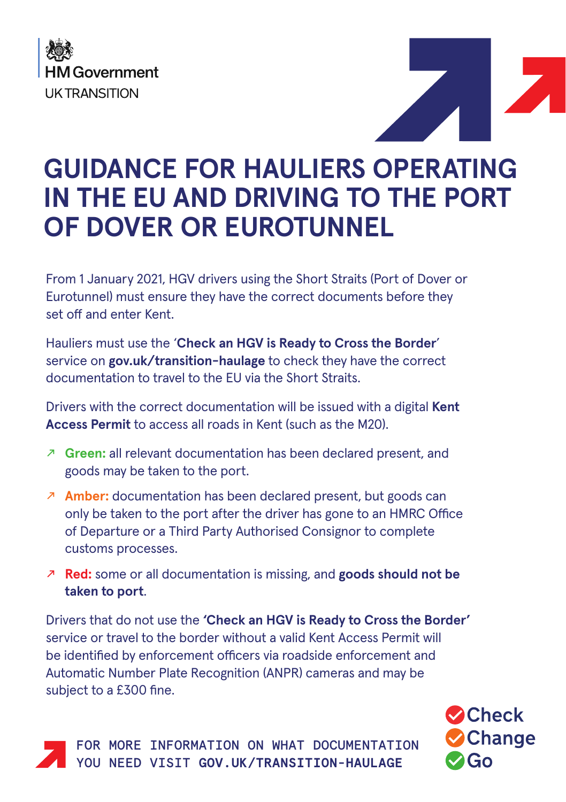



## **GUIDANCE FOR HAULIERS OPERATING IN THE EU AND DRIVING TO THE PORT OF DOVER OR EUROTUNNEL**

From 1 January 2021, HGV drivers using the Short Straits (Port of Dover or Eurotunnel) must ensure they have the correct documents before they set off and enter Kent.

Hauliers must use the '**Check an HGV is Ready to Cross the Border**' service on **gov.uk/transition-haulage** to check they have the correct documentation to travel to the EU via the Short Straits.

Drivers with the correct documentation will be issued with a digital **Kent Access Permit** to access all roads in Kent (such as the M20).

- ̊ **Green:** all relevant documentation has been declared present, and goods may be taken to the port.
- ̊ **Amber:** documentation has been declared present, but goods can only be taken to the port after the driver has gone to an HMRC Office of Departure or a Third Party Authorised Consignor to complete customs processes.
- ̊ **Red:** some or all documentation is missing, and **goods should not be taken to port**.

Drivers that do not use the **'Check an HGV is Ready to Cross the Border'** service or travel to the border without a valid Kent Access Permit will be identified by enforcement officers via roadside enforcement and Automatic Number Plate Recognition (ANPR) cameras and may be subject to a £300 fine.

> **O**Check **Change O**GO

FOR MORE INFORMATION ON WHAT DOCUMENTATION YOU NEED VISIT **GOV.UK/TRANSITION-HAULAGE**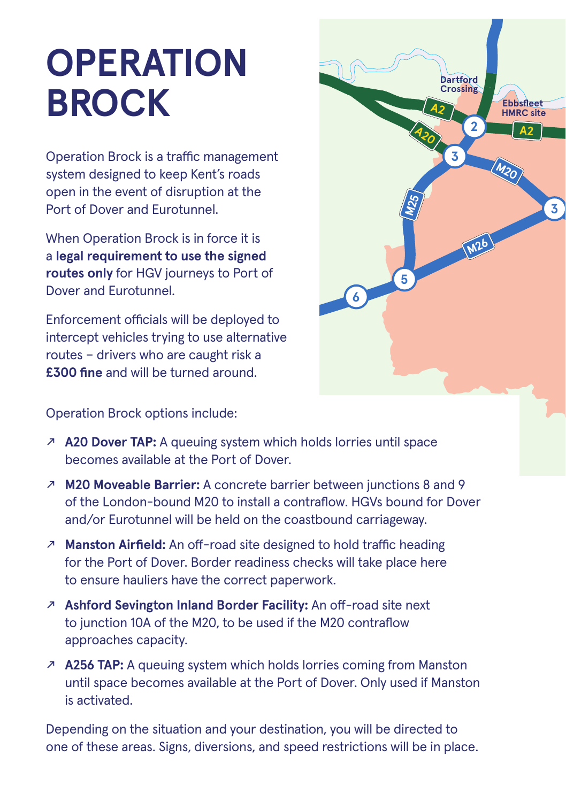## **OPERATION BROCK**

Operation Brock is a traffic management system designed to keep Kent's roads open in the event of disruption at the Port of Dover and Eurotunnel.

When Operation Brock is in force it is a **legal requirement to use the signed routes only** for HGV journeys to Port of Dover and Eurotunnel.

Enforcement officials will be deployed to intercept vehicles trying to use alternative routes – drivers who are caught risk a **£300 fine** and will be turned around.



Operation Brock options include:

- ̊ **A20 Dover TAP:** A queuing system which holds lorries until space becomes available at the Port of Dover.
- ̊ **M20 Moveable Barrier:** A concrete barrier between junctions 8 and 9 of the London-bound M20 to install a contraflow. HGVs bound for Dover and/or Eurotunnel will be held on the coastbound carriageway.
- ̊ **Manston Airfield:** An off-road site designed to hold traffic heading for the Port of Dover. Border readiness checks will take place here to ensure hauliers have the correct paperwork.
- ̊ **Ashford Sevington Inland Border Facility:** An off-road site next to junction 10A of the M20, to be used if the M20 contraflow approaches capacity.
- ̊ **A256 TAP:** A queuing system which holds lorries coming from Manston until space becomes available at the Port of Dover. Only used if Manston is activated.

Depending on the situation and your destination, you will be directed to one of these areas. Signs, diversions, and speed restrictions will be in place.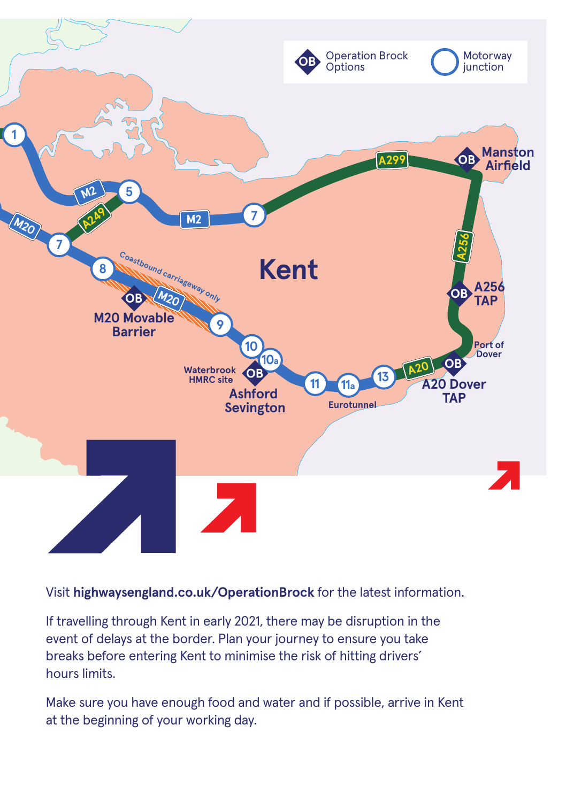

Visit **highwaysengland.co.uk/OperationBrock** for the latest information.

If travelling through Kent in early 2021, there may be disruption in the event of delays at the border. Plan your journey to ensure you take breaks before entering Kent to minimise the risk of hitting drivers' hours limits.

Make sure you have enough food and water and if possible, arrive in Kent at the beginning of your working day.